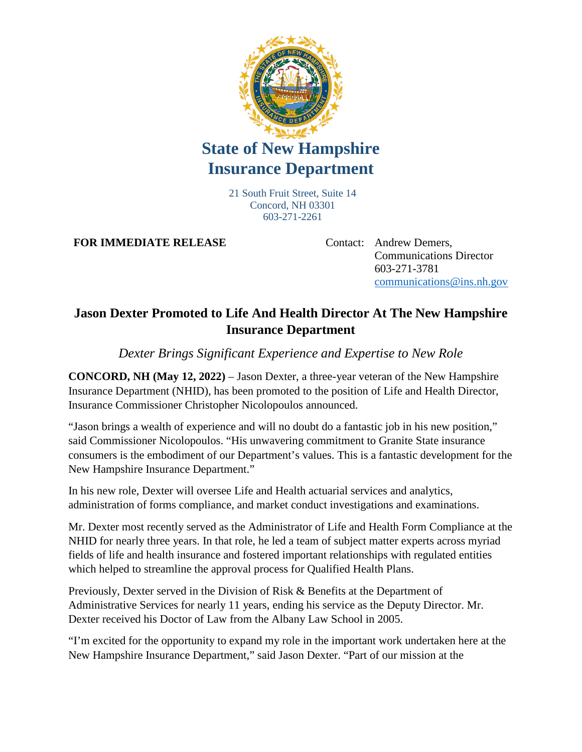

## **State of New Hampshire Insurance Department**

21 South Fruit Street, Suite 14 Concord, NH 03301 603-271-2261

**FOR IMMEDIATE RELEASE** Contact: Andrew Demers,

Communications Director 603-271-3781 [communications@ins.nh.gov](mailto:communications@ins.nh.gov)

## **Jason Dexter Promoted to Life And Health Director At The New Hampshire Insurance Department**

*Dexter Brings Significant Experience and Expertise to New Role* 

**CONCORD, NH (May 12, 2022)** – Jason Dexter, a three-year veteran of the New Hampshire Insurance Department (NHID), has been promoted to the position of Life and Health Director, Insurance Commissioner Christopher Nicolopoulos announced.

"Jason brings a wealth of experience and will no doubt do a fantastic job in his new position," said Commissioner Nicolopoulos. "His unwavering commitment to Granite State insurance consumers is the embodiment of our Department's values. This is a fantastic development for the New Hampshire Insurance Department."

In his new role, Dexter will oversee Life and Health actuarial services and analytics, administration of forms compliance, and market conduct investigations and examinations.

Mr. Dexter most recently served as the Administrator of Life and Health Form Compliance at the NHID for nearly three years. In that role, he led a team of subject matter experts across myriad fields of life and health insurance and fostered important relationships with regulated entities which helped to streamline the approval process for Qualified Health Plans.

Previously, Dexter served in the Division of Risk & Benefits at the Department of Administrative Services for nearly 11 years, ending his service as the Deputy Director. Mr. Dexter received his Doctor of Law from the Albany Law School in 2005.

"I'm excited for the opportunity to expand my role in the important work undertaken here at the New Hampshire Insurance Department," said Jason Dexter. "Part of our mission at the